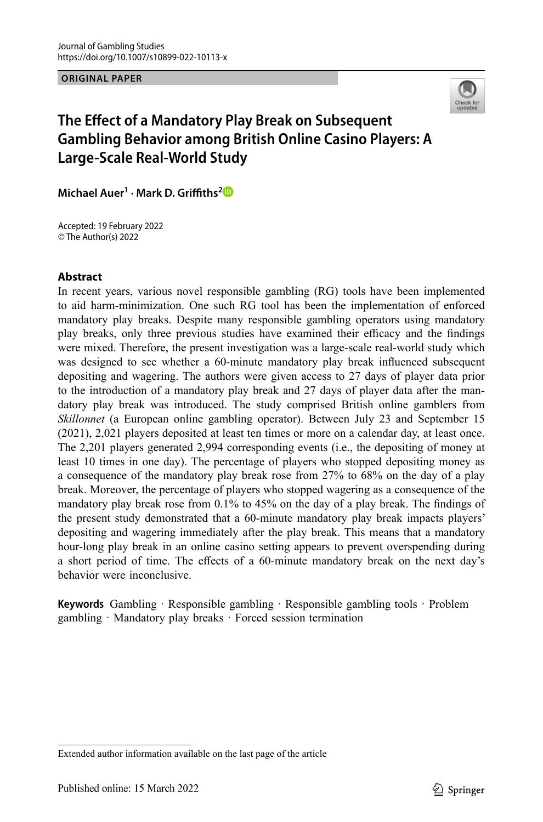**ORIGINAL PAPER**



# **The Effect of a Mandatory Play Break on Subsequent Gambling Behavior among British Online Casino Players: A Large-Scale Real-World Study**

**Michael Auer1 · Mark D. Griffiths[2](http://orcid.org/0000-0001-8880-6524)**

Accepted: 19 February 2022 © The Author(s) 2022

## **Abstract**

In recent years, various novel responsible gambling (RG) tools have been implemented to aid harm-minimization. One such RG tool has been the implementation of enforced mandatory play breaks. Despite many responsible gambling operators using mandatory play breaks, only three previous studies have examined their efficacy and the findings were mixed. Therefore, the present investigation was a large-scale real-world study which was designed to see whether a 60-minute mandatory play break influenced subsequent depositing and wagering. The authors were given access to 27 days of player data prior to the introduction of a mandatory play break and 27 days of player data after the mandatory play break was introduced. The study comprised British online gamblers from *Skillonnet* (a European online gambling operator). Between July 23 and September 15 (2021), 2,021 players deposited at least ten times or more on a calendar day, at least once. The 2,201 players generated 2,994 corresponding events (i.e., the depositing of money at least 10 times in one day). The percentage of players who stopped depositing money as a consequence of the mandatory play break rose from 27% to 68% on the day of a play break. Moreover, the percentage of players who stopped wagering as a consequence of the mandatory play break rose from 0.1% to 45% on the day of a play break. The findings of the present study demonstrated that a 60-minute mandatory play break impacts players' depositing and wagering immediately after the play break. This means that a mandatory hour-long play break in an online casino setting appears to prevent overspending during a short period of time. The effects of a 60-minute mandatory break on the next day's behavior were inconclusive.

**Keywords** Gambling · Responsible gambling · Responsible gambling tools · Problem gambling · Mandatory play breaks · Forced session termination

Extended author information available on the last page of the article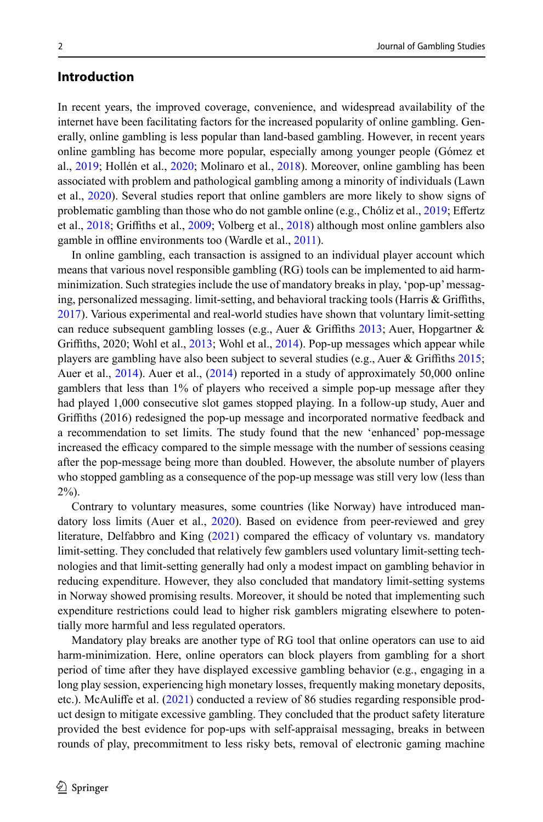# **Introduction**

In recent years, the improved coverage, convenience, and widespread availability of the internet have been facilitating factors for the increased popularity of online gambling. Generally, online gambling is less popular than land-based gambling. However, in recent years online gambling has become more popular, especially among younger people (Gómez et al., [2019](#page-15-0); Hollén et al., [2020](#page-15-1); Molinaro et al., [2018](#page-16-0)). Moreover, online gambling has been associated with problem and pathological gambling among a minority of individuals (Lawn et al., [2020](#page-15-2)). Several studies report that online gamblers are more likely to show signs of problematic gambling than those who do not gamble online (e.g., Chóliz et al., [2019](#page-15-3); Effertz et al., [2018](#page-15-4); Griffiths et al., [2009](#page-15-5); Volberg et al., [2018](#page-16-1)) although most online gamblers also gamble in offline environments too (Wardle et al., [2011\)](#page-16-2).

In online gambling, each transaction is assigned to an individual player account which means that various novel responsible gambling (RG) tools can be implemented to aid harmminimization. Such strategies include the use of mandatory breaks in play, 'pop-up' messaging, personalized messaging. limit-setting, and behavioral tracking tools (Harris & Griffiths, [2017\)](#page-15-6). Various experimental and real-world studies have shown that voluntary limit-setting can reduce subsequent gambling losses (e.g., Auer & Griffiths [2013](#page-15-7); Auer, Hopgartner & Griffiths, 2020; Wohl et al., [2013](#page-16-3); Wohl et al., [2014](#page-16-4)). Pop-up messages which appear while players are gambling have also been subject to several studies (e.g., Auer & Griffiths [2015;](#page-15-8) Auer et al., [2014](#page-15-9)). Auer et al., ([2014\)](#page-15-9) reported in a study of approximately 50,000 online gamblers that less than 1% of players who received a simple pop-up message after they had played 1,000 consecutive slot games stopped playing. In a follow-up study, Auer and Griffiths (2016) redesigned the pop-up message and incorporated normative feedback and a recommendation to set limits. The study found that the new 'enhanced' pop-message increased the efficacy compared to the simple message with the number of sessions ceasing after the pop-message being more than doubled. However, the absolute number of players who stopped gambling as a consequence of the pop-up message was still very low (less than 2%).

Contrary to voluntary measures, some countries (like Norway) have introduced mandatory loss limits (Auer et al., [2020](#page-15-10)). Based on evidence from peer-reviewed and grey literature, Delfabbro and King ([2021](#page-15-11)) compared the efficacy of voluntary vs. mandatory limit-setting. They concluded that relatively few gamblers used voluntary limit-setting technologies and that limit-setting generally had only a modest impact on gambling behavior in reducing expenditure. However, they also concluded that mandatory limit-setting systems in Norway showed promising results. Moreover, it should be noted that implementing such expenditure restrictions could lead to higher risk gamblers migrating elsewhere to potentially more harmful and less regulated operators.

Mandatory play breaks are another type of RG tool that online operators can use to aid harm-minimization. Here, online operators can block players from gambling for a short period of time after they have displayed excessive gambling behavior (e.g., engaging in a long play session, experiencing high monetary losses, frequently making monetary deposits, etc.). McAuliffe et al. ([2021](#page-15-12)) conducted a review of 86 studies regarding responsible product design to mitigate excessive gambling. They concluded that the product safety literature provided the best evidence for pop-ups with self-appraisal messaging, breaks in between rounds of play, precommitment to less risky bets, removal of electronic gaming machine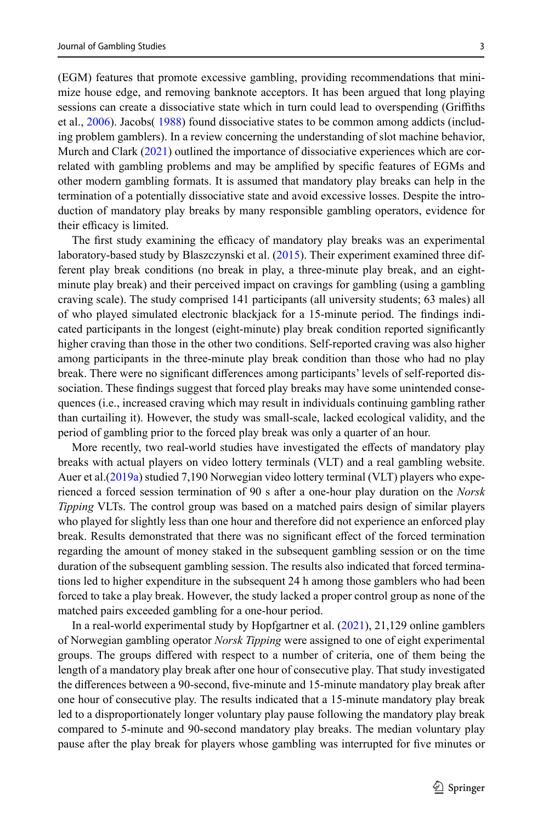(EGM) features that promote excessive gambling, providing recommendations that minimize house edge, and removing banknote acceptors. It has been argued that long playing sessions can create a dissociative state which in turn could lead to overspending (Griffiths et al., [2006](#page-15-13)). Jacobs( [1988](#page-15-14)) found dissociative states to be common among addicts (including problem gamblers). In a review concerning the understanding of slot machine behavior, Murch and Clark [\(2021](#page-16-5)) outlined the importance of dissociative experiences which are correlated with gambling problems and may be amplified by specific features of EGMs and other modern gambling formats. It is assumed that mandatory play breaks can help in the termination of a potentially dissociative state and avoid excessive losses. Despite the introduction of mandatory play breaks by many responsible gambling operators, evidence for their efficacy is limited.

The first study examining the efficacy of mandatory play breaks was an experimental laboratory-based study by Blaszczynski et al. ([2015\)](#page-15-15). Their experiment examined three different play break conditions (no break in play, a three-minute play break, and an eightminute play break) and their perceived impact on cravings for gambling (using a gambling craving scale). The study comprised 141 participants (all university students; 63 males) all of who played simulated electronic blackjack for a 15-minute period. The findings indicated participants in the longest (eight-minute) play break condition reported significantly higher craving than those in the other two conditions. Self-reported craving was also higher among participants in the three-minute play break condition than those who had no play break. There were no significant differences among participants' levels of self-reported dissociation. These findings suggest that forced play breaks may have some unintended consequences (i.e., increased craving which may result in individuals continuing gambling rather than curtailing it). However, the study was small-scale, lacked ecological validity, and the period of gambling prior to the forced play break was only a quarter of an hour.

More recently, two real-world studies have investigated the effects of mandatory play breaks with actual players on video lottery terminals (VLT) and a real gambling website. Auer et al.([2019a](#page-15-16)) studied 7,190 Norwegian video lottery terminal (VLT) players who experienced a forced session termination of 90 s after a one-hour play duration on the *Norsk Tipping* VLTs. The control group was based on a matched pairs design of similar players who played for slightly less than one hour and therefore did not experience an enforced play break. Results demonstrated that there was no significant effect of the forced termination regarding the amount of money staked in the subsequent gambling session or on the time duration of the subsequent gambling session. The results also indicated that forced terminations led to higher expenditure in the subsequent 24 h among those gamblers who had been forced to take a play break. However, the study lacked a proper control group as none of the matched pairs exceeded gambling for a one-hour period.

In a real-world experimental study by Hopfgartner et al. [\(2021](#page-15-17)), 21,129 online gamblers of Norwegian gambling operator *Norsk Tipping* were assigned to one of eight experimental groups. The groups differed with respect to a number of criteria, one of them being the length of a mandatory play break after one hour of consecutive play. That study investigated the differences between a 90-second, five-minute and 15-minute mandatory play break after one hour of consecutive play. The results indicated that a 15-minute mandatory play break led to a disproportionately longer voluntary play pause following the mandatory play break compared to 5-minute and 90-second mandatory play breaks. The median voluntary play pause after the play break for players whose gambling was interrupted for five minutes or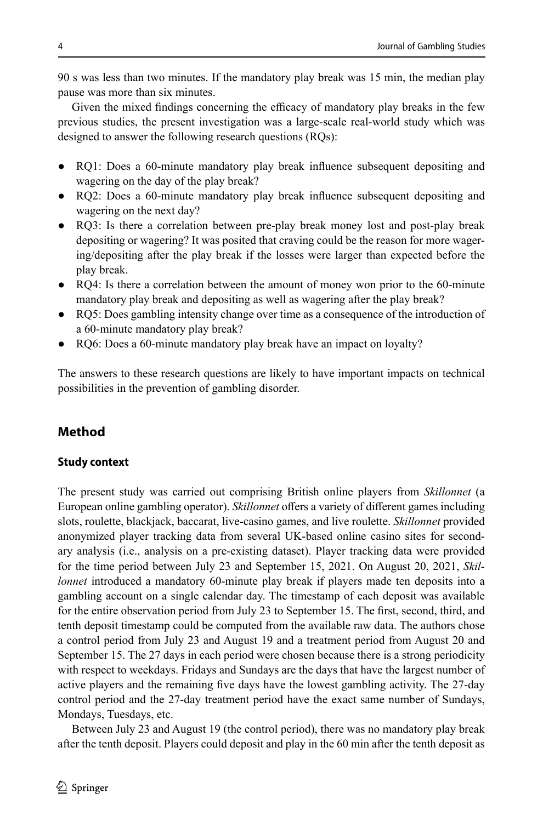90 s was less than two minutes. If the mandatory play break was 15 min, the median play pause was more than six minutes.

Given the mixed findings concerning the efficacy of mandatory play breaks in the few previous studies, the present investigation was a large-scale real-world study which was designed to answer the following research questions (RQs):

- RQ1: Does a 60-minute mandatory play break influence subsequent depositing and wagering on the day of the play break?
- RQ2: Does a 60-minute mandatory play break influence subsequent depositing and wagering on the next day?
- RQ3: Is there a correlation between pre-play break money lost and post-play break depositing or wagering? It was posited that craving could be the reason for more wagering/depositing after the play break if the losses were larger than expected before the play break.
- RQ4: Is there a correlation between the amount of money won prior to the 60-minute mandatory play break and depositing as well as wagering after the play break?
- RQ5: Does gambling intensity change over time as a consequence of the introduction of a 60-minute mandatory play break?
- RQ6: Does a 60-minute mandatory play break have an impact on loyalty?

The answers to these research questions are likely to have important impacts on technical possibilities in the prevention of gambling disorder.

# **Method**

### **Study context**

The present study was carried out comprising British online players from *Skillonnet* (a European online gambling operator). *Skillonnet* offers a variety of different games including slots, roulette, blackjack, baccarat, live-casino games, and live roulette. *Skillonnet* provided anonymized player tracking data from several UK-based online casino sites for secondary analysis (i.e., analysis on a pre-existing dataset). Player tracking data were provided for the time period between July 23 and September 15, 2021. On August 20, 2021, *Skillonnet* introduced a mandatory 60-minute play break if players made ten deposits into a gambling account on a single calendar day. The timestamp of each deposit was available for the entire observation period from July 23 to September 15. The first, second, third, and tenth deposit timestamp could be computed from the available raw data. The authors chose a control period from July 23 and August 19 and a treatment period from August 20 and September 15. The 27 days in each period were chosen because there is a strong periodicity with respect to weekdays. Fridays and Sundays are the days that have the largest number of active players and the remaining five days have the lowest gambling activity. The 27-day control period and the 27-day treatment period have the exact same number of Sundays, Mondays, Tuesdays, etc.

Between July 23 and August 19 (the control period), there was no mandatory play break after the tenth deposit. Players could deposit and play in the 60 min after the tenth deposit as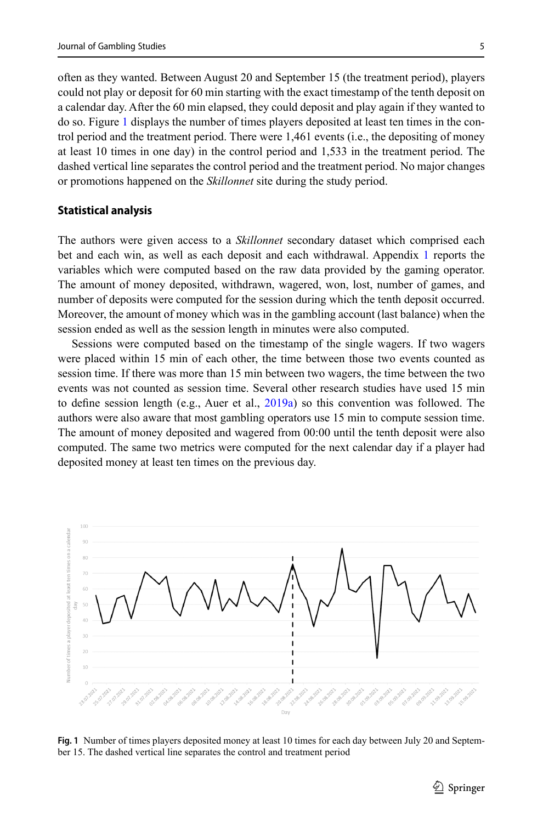often as they wanted. Between August 20 and September 15 (the treatment period), players could not play or deposit for 60 min starting with the exact timestamp of the tenth deposit on a calendar day. After the 60 min elapsed, they could deposit and play again if they wanted to do so. Figure [1](#page-4-0) displays the number of times players deposited at least ten times in the control period and the treatment period. There were 1,461 events (i.e., the depositing of money at least 10 times in one day) in the control period and 1,533 in the treatment period. The dashed vertical line separates the control period and the treatment period. No major changes or promotions happened on the *Skillonnet* site during the study period.

#### **Statistical analysis**

The authors were given access to a *Skillonnet* secondary dataset which comprised each bet and each win, as well as each deposit and each withdrawal. Appendix [1](#page-13-0) reports the variables which were computed based on the raw data provided by the gaming operator. The amount of money deposited, withdrawn, wagered, won, lost, number of games, and number of deposits were computed for the session during which the tenth deposit occurred. Moreover, the amount of money which was in the gambling account (last balance) when the session ended as well as the session length in minutes were also computed.

Sessions were computed based on the timestamp of the single wagers. If two wagers were placed within 15 min of each other, the time between those two events counted as session time. If there was more than 15 min between two wagers, the time between the two events was not counted as session time. Several other research studies have used 15 min to define session length (e.g., Auer et al.,  $2019a$ ) so this convention was followed. The authors were also aware that most gambling operators use 15 min to compute session time. The amount of money deposited and wagered from 00:00 until the tenth deposit were also computed. The same two metrics were computed for the next calendar day if a player had deposited money at least ten times on the previous day.

<span id="page-4-0"></span>

**Fig. 1** Number of times players deposited money at least 10 times for each day between July 20 and September 15. The dashed vertical line separates the control and treatment period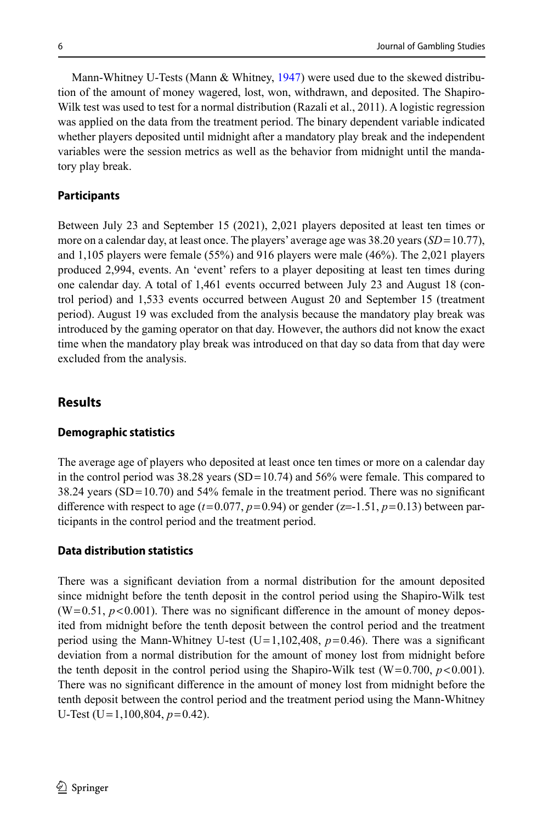Mann-Whitney U-Tests (Mann & Whitney, [1947](#page-15-18)) were used due to the skewed distribution of the amount of money wagered, lost, won, withdrawn, and deposited. The Shapiro-Wilk test was used to test for a normal distribution (Razali et al., 2011). A logistic regression was applied on the data from the treatment period. The binary dependent variable indicated whether players deposited until midnight after a mandatory play break and the independent variables were the session metrics as well as the behavior from midnight until the mandatory play break.

#### **Participants**

Between July 23 and September 15 (2021), 2,021 players deposited at least ten times or more on a calendar day, at least once. The players' average age was 38.20 years (*SD*=10.77), and 1,105 players were female (55%) and 916 players were male (46%). The 2,021 players produced 2,994, events. An 'event' refers to a player depositing at least ten times during one calendar day. A total of 1,461 events occurred between July 23 and August 18 (control period) and 1,533 events occurred between August 20 and September 15 (treatment period). August 19 was excluded from the analysis because the mandatory play break was introduced by the gaming operator on that day. However, the authors did not know the exact time when the mandatory play break was introduced on that day so data from that day were excluded from the analysis.

## **Results**

#### **Demographic statistics**

The average age of players who deposited at least once ten times or more on a calendar day in the control period was  $38.28$  years (SD=10.74) and  $56\%$  were female. This compared to 38.24 years (SD=10.70) and 54% female in the treatment period. There was no significant difference with respect to age ( $t=0.077$ ,  $p=0.94$ ) or gender ( $z=-1.51$ ,  $p=0.13$ ) between participants in the control period and the treatment period.

#### **Data distribution statistics**

There was a significant deviation from a normal distribution for the amount deposited since midnight before the tenth deposit in the control period using the Shapiro-Wilk test  $(W=0.51, p<0.001)$ . There was no significant difference in the amount of money deposited from midnight before the tenth deposit between the control period and the treatment period using the Mann-Whitney U-test (U=1,102,408,  $p=0.46$ ). There was a significant deviation from a normal distribution for the amount of money lost from midnight before the tenth deposit in the control period using the Shapiro-Wilk test  $(W=0.700, p<0.001)$ . There was no significant difference in the amount of money lost from midnight before the tenth deposit between the control period and the treatment period using the Mann-Whitney U-Test (U=1,100,804, *p*=0.42).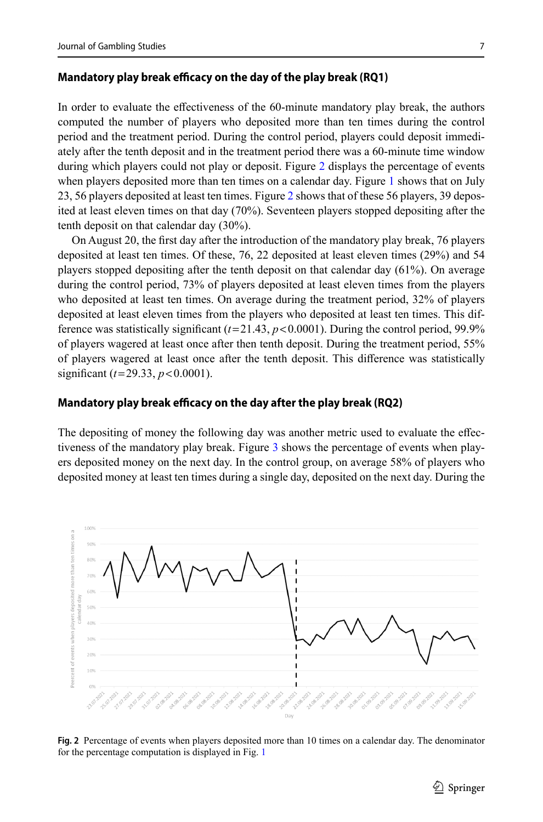#### **Mandatory play break efficacy on the day of the play break (RQ1)**

In order to evaluate the effectiveness of the 60-minute mandatory play break, the authors computed the number of players who deposited more than ten times during the control period and the treatment period. During the control period, players could deposit immediately after the tenth deposit and in the treatment period there was a 60-minute time window during which players could not play or deposit. Figure [2](#page-6-0) displays the percentage of events when players deposited more than ten times on a calendar day. Figure [1](#page-4-0) shows that on July 23, 56 players deposited at least ten times. Figure [2](#page-6-0) shows that of these 56 players, 39 deposited at least eleven times on that day (70%). Seventeen players stopped depositing after the tenth deposit on that calendar day (30%).

On August 20, the first day after the introduction of the mandatory play break, 76 players deposited at least ten times. Of these, 76, 22 deposited at least eleven times (29%) and 54 players stopped depositing after the tenth deposit on that calendar day (61%). On average during the control period, 73% of players deposited at least eleven times from the players who deposited at least ten times. On average during the treatment period, 32% of players deposited at least eleven times from the players who deposited at least ten times. This difference was statistically significant  $(t=21.43, p<0.0001)$ . During the control period, 99.9% of players wagered at least once after then tenth deposit. During the treatment period, 55% of players wagered at least once after the tenth deposit. This difference was statistically significant (*t*=29.33, *p*<0.0001).

#### **Mandatory play break efficacy on the day after the play break (RQ2)**

The depositing of money the following day was another metric used to evaluate the effectiveness of the mandatory play break. Figure [3](#page-7-0) shows the percentage of events when players deposited money on the next day. In the control group, on average 58% of players who deposited money at least ten times during a single day, deposited on the next day. During the

<span id="page-6-0"></span>

**Fig. 2** Percentage of events when players deposited more than 10 times on a calendar day. The denominator for the percentage computation is displayed in Fig. [1](#page-4-0)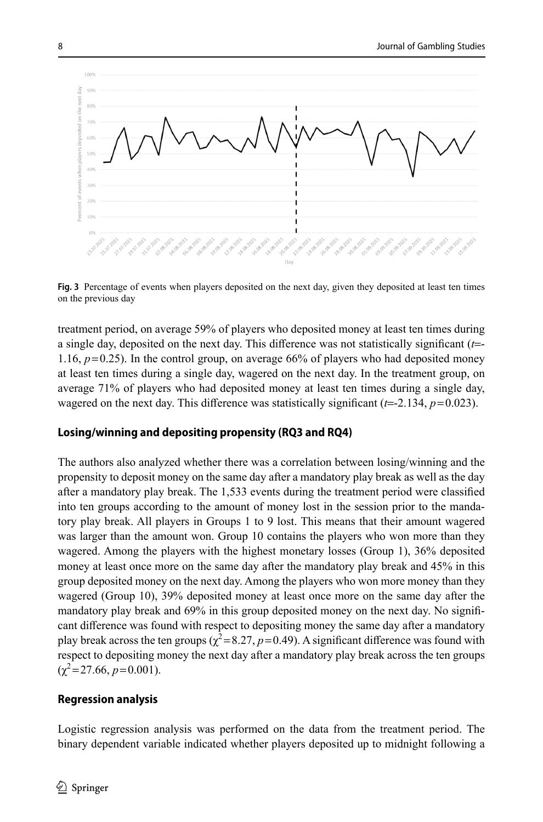<span id="page-7-0"></span>

**Fig. 3** Percentage of events when players deposited on the next day, given they deposited at least ten times on the previous day

treatment period, on average 59% of players who deposited money at least ten times during a single day, deposited on the next day. This difference was not statistically significant (*t*=- 1.16, *p*=0.25). In the control group, on average 66% of players who had deposited money at least ten times during a single day, wagered on the next day. In the treatment group, on average 71% of players who had deposited money at least ten times during a single day, wagered on the next day. This difference was statistically significant  $(t=-2.134, p=0.023)$ .

### **Losing/winning and depositing propensity (RQ3 and RQ4)**

The authors also analyzed whether there was a correlation between losing/winning and the propensity to deposit money on the same day after a mandatory play break as well as the day after a mandatory play break. The 1,533 events during the treatment period were classified into ten groups according to the amount of money lost in the session prior to the mandatory play break. All players in Groups 1 to 9 lost. This means that their amount wagered was larger than the amount won. Group 10 contains the players who won more than they wagered. Among the players with the highest monetary losses (Group 1), 36% deposited money at least once more on the same day after the mandatory play break and 45% in this group deposited money on the next day. Among the players who won more money than they wagered (Group 10), 39% deposited money at least once more on the same day after the mandatory play break and 69% in this group deposited money on the next day. No significant difference was found with respect to depositing money the same day after a mandatory play break across the ten groups ( $\chi^2 = 8.27$ ,  $p = 0.49$ ). A significant difference was found with respect to depositing money the next day after a mandatory play break across the ten groups  $(\gamma^2 = 27.66, p = 0.001)$ .

### **Regression analysis**

Logistic regression analysis was performed on the data from the treatment period. The binary dependent variable indicated whether players deposited up to midnight following a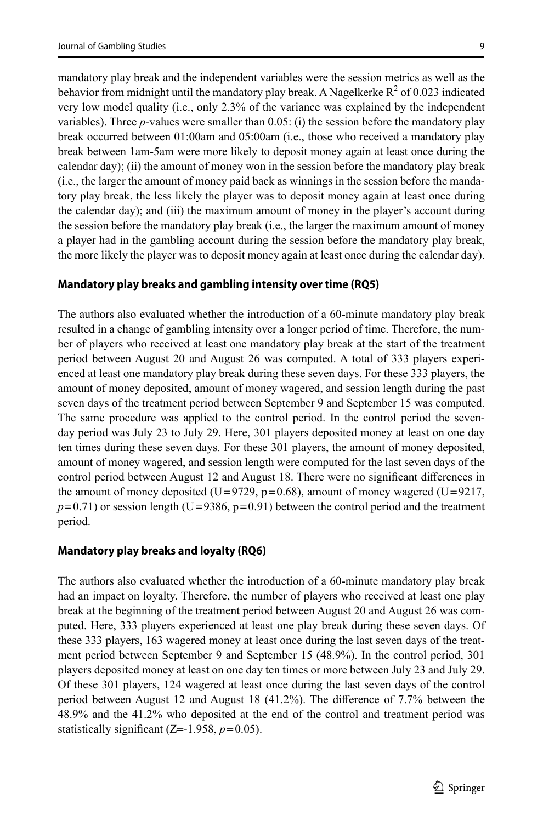mandatory play break and the independent variables were the session metrics as well as the behavior from midnight until the mandatory play break. A Nagelkerke  $R^2$  of 0.023 indicated very low model quality (i.e., only 2.3% of the variance was explained by the independent variables). Three *p*-values were smaller than 0.05: (i) the session before the mandatory play break occurred between 01:00am and 05:00am (i.e., those who received a mandatory play break between 1am-5am were more likely to deposit money again at least once during the calendar day); (ii) the amount of money won in the session before the mandatory play break (i.e., the larger the amount of money paid back as winnings in the session before the mandatory play break, the less likely the player was to deposit money again at least once during the calendar day); and (iii) the maximum amount of money in the player's account during the session before the mandatory play break (i.e., the larger the maximum amount of money a player had in the gambling account during the session before the mandatory play break, the more likely the player was to deposit money again at least once during the calendar day).

### **Mandatory play breaks and gambling intensity over time (RQ5)**

The authors also evaluated whether the introduction of a 60-minute mandatory play break resulted in a change of gambling intensity over a longer period of time. Therefore, the number of players who received at least one mandatory play break at the start of the treatment period between August 20 and August 26 was computed. A total of 333 players experienced at least one mandatory play break during these seven days. For these 333 players, the amount of money deposited, amount of money wagered, and session length during the past seven days of the treatment period between September 9 and September 15 was computed. The same procedure was applied to the control period. In the control period the sevenday period was July 23 to July 29. Here, 301 players deposited money at least on one day ten times during these seven days. For these 301 players, the amount of money deposited, amount of money wagered, and session length were computed for the last seven days of the control period between August 12 and August 18. There were no significant differences in the amount of money deposited (U=9729,  $p=0.68$ ), amount of money wagered (U=9217,  $p=0.71$ ) or session length (U=9386, p=0.91) between the control period and the treatment period.

## **Mandatory play breaks and loyalty (RQ6)**

The authors also evaluated whether the introduction of a 60-minute mandatory play break had an impact on loyalty. Therefore, the number of players who received at least one play break at the beginning of the treatment period between August 20 and August 26 was computed. Here, 333 players experienced at least one play break during these seven days. Of these 333 players, 163 wagered money at least once during the last seven days of the treatment period between September 9 and September 15 (48.9%). In the control period, 301 players deposited money at least on one day ten times or more between July 23 and July 29. Of these 301 players, 124 wagered at least once during the last seven days of the control period between August 12 and August 18 (41.2%). The difference of 7.7% between the 48.9% and the 41.2% who deposited at the end of the control and treatment period was statistically significant  $(Z=1.958, p=0.05)$ .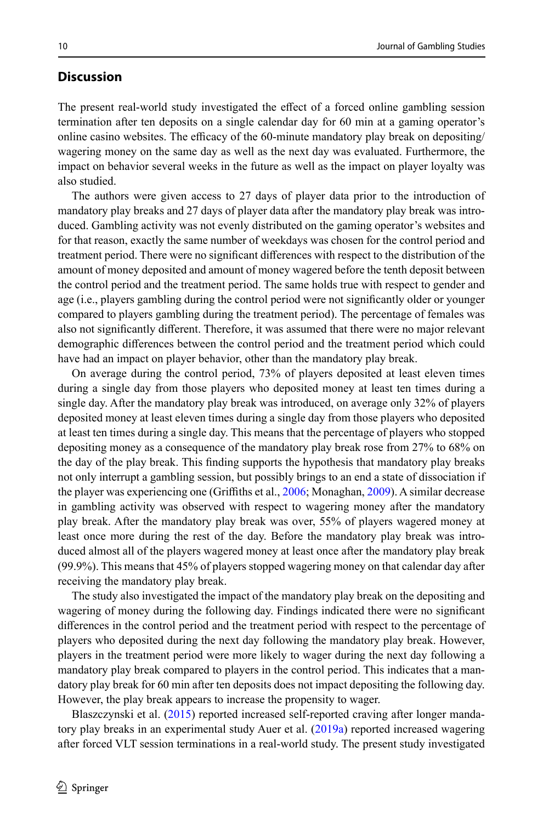## **Discussion**

The present real-world study investigated the effect of a forced online gambling session termination after ten deposits on a single calendar day for 60 min at a gaming operator's online casino websites. The efficacy of the 60-minute mandatory play break on depositing/ wagering money on the same day as well as the next day was evaluated. Furthermore, the impact on behavior several weeks in the future as well as the impact on player loyalty was also studied.

The authors were given access to 27 days of player data prior to the introduction of mandatory play breaks and 27 days of player data after the mandatory play break was introduced. Gambling activity was not evenly distributed on the gaming operator's websites and for that reason, exactly the same number of weekdays was chosen for the control period and treatment period. There were no significant differences with respect to the distribution of the amount of money deposited and amount of money wagered before the tenth deposit between the control period and the treatment period. The same holds true with respect to gender and age (i.e., players gambling during the control period were not significantly older or younger compared to players gambling during the treatment period). The percentage of females was also not significantly different. Therefore, it was assumed that there were no major relevant demographic differences between the control period and the treatment period which could have had an impact on player behavior, other than the mandatory play break.

On average during the control period, 73% of players deposited at least eleven times during a single day from those players who deposited money at least ten times during a single day. After the mandatory play break was introduced, on average only 32% of players deposited money at least eleven times during a single day from those players who deposited at least ten times during a single day. This means that the percentage of players who stopped depositing money as a consequence of the mandatory play break rose from 27% to 68% on the day of the play break. This finding supports the hypothesis that mandatory play breaks not only interrupt a gambling session, but possibly brings to an end a state of dissociation if the player was experiencing one (Griffiths et al., [2006;](#page-15-13) Monaghan, [2009](#page-16-6)). A similar decrease in gambling activity was observed with respect to wagering money after the mandatory play break. After the mandatory play break was over, 55% of players wagered money at least once more during the rest of the day. Before the mandatory play break was introduced almost all of the players wagered money at least once after the mandatory play break (99.9%). This means that 45% of players stopped wagering money on that calendar day after receiving the mandatory play break.

The study also investigated the impact of the mandatory play break on the depositing and wagering of money during the following day. Findings indicated there were no significant differences in the control period and the treatment period with respect to the percentage of players who deposited during the next day following the mandatory play break. However, players in the treatment period were more likely to wager during the next day following a mandatory play break compared to players in the control period. This indicates that a mandatory play break for 60 min after ten deposits does not impact depositing the following day. However, the play break appears to increase the propensity to wager.

Blaszczynski et al. ([2015\)](#page-15-15) reported increased self-reported craving after longer mandatory play breaks in an experimental study Auer et al. ([2019a](#page-15-16)) reported increased wagering after forced VLT session terminations in a real-world study. The present study investigated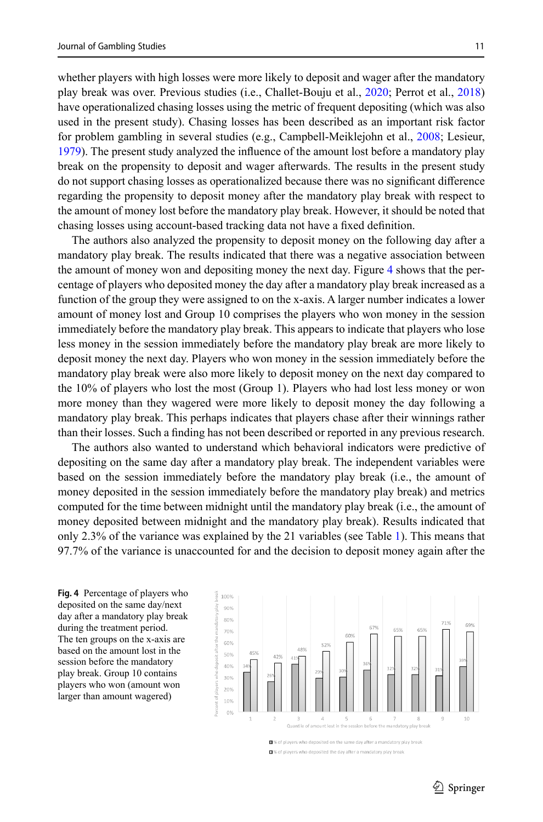whether players with high losses were more likely to deposit and wager after the mandatory play break was over. Previous studies (i.e., Challet-Bouju et al., [2020;](#page-15-19) Perrot et al., [2018](#page-16-7)) have operationalized chasing losses using the metric of frequent depositing (which was also used in the present study). Chasing losses has been described as an important risk factor for problem gambling in several studies (e.g., Campbell-Meiklejohn et al., [2008](#page-15-20); Lesieur, [1979](#page-15-21)). The present study analyzed the influence of the amount lost before a mandatory play break on the propensity to deposit and wager afterwards. The results in the present study do not support chasing losses as operationalized because there was no significant difference regarding the propensity to deposit money after the mandatory play break with respect to the amount of money lost before the mandatory play break. However, it should be noted that chasing losses using account-based tracking data not have a fixed definition.

The authors also analyzed the propensity to deposit money on the following day after a mandatory play break. The results indicated that there was a negative association between the amount of money won and depositing money the next day. Figure [4](#page-10-0) shows that the percentage of players who deposited money the day after a mandatory play break increased as a function of the group they were assigned to on the x-axis. A larger number indicates a lower amount of money lost and Group 10 comprises the players who won money in the session immediately before the mandatory play break. This appears to indicate that players who lose less money in the session immediately before the mandatory play break are more likely to deposit money the next day. Players who won money in the session immediately before the mandatory play break were also more likely to deposit money on the next day compared to the 10% of players who lost the most (Group 1). Players who had lost less money or won more money than they wagered were more likely to deposit money the day following a mandatory play break. This perhaps indicates that players chase after their winnings rather than their losses. Such a finding has not been described or reported in any previous research.

The authors also wanted to understand which behavioral indicators were predictive of depositing on the same day after a mandatory play break. The independent variables were based on the session immediately before the mandatory play break (i.e., the amount of money deposited in the session immediately before the mandatory play break) and metrics computed for the time between midnight until the mandatory play break (i.e., the amount of money deposited between midnight and the mandatory play break). Results indicated that only 2.3% of the variance was explained by the 21 variables (see Table [1](#page-11-0)). This means that 97.7% of the variance is unaccounted for and the decision to deposit money again after the

<span id="page-10-0"></span>**Fig. 4** Percentage of players who deposited on the same day/next day after a mandatory play break during the treatment period. The ten groups on the x-axis are based on the amount lost in the session before the mandatory play break. Group 10 contains players who won (amount won larger than amount wagered)



■% of players who deposited on the same day after a mandatory play breal ■% of players who deposited the day after a mandatory play break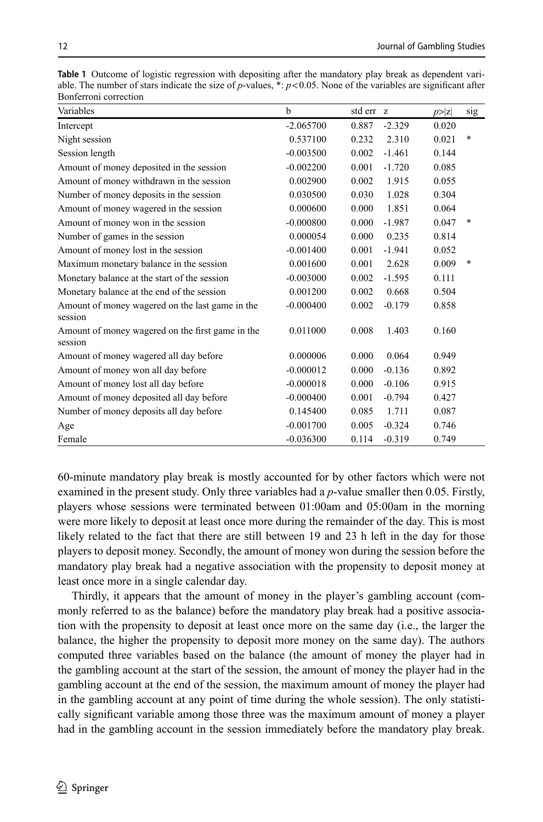| DUINNHUII CUNCCHUII                                         |             |         |          |        |        |
|-------------------------------------------------------------|-------------|---------|----------|--------|--------|
| Variables                                                   | b           | std err | <b>z</b> | p >  z | sig    |
| Intercept                                                   | $-2.065700$ | 0.887   | $-2.329$ | 0.020  |        |
| Night session                                               | 0.537100    | 0.232   | 2.310    | 0.021  | $\ast$ |
| Session length                                              | $-0.003500$ | 0.002   | $-1.461$ | 0.144  |        |
| Amount of money deposited in the session                    | $-0.002200$ | 0.001   | $-1.720$ | 0.085  |        |
| Amount of money withdrawn in the session                    | 0.002900    | 0.002   | 1.915    | 0.055  |        |
| Number of money deposits in the session                     | 0.030500    | 0.030   | 1.028    | 0.304  |        |
| Amount of money wagered in the session                      | 0.000600    | 0.000   | 1.851    | 0.064  |        |
| Amount of money won in the session                          | $-0.000800$ | 0.000   | $-1.987$ | 0.047  | $\ast$ |
| Number of games in the session                              | 0.000054    | 0.000   | 0.235    | 0.814  |        |
| Amount of money lost in the session                         | $-0.001400$ | 0.001   | $-1.941$ | 0.052  |        |
| Maximum monetary balance in the session                     | 0.001600    | 0.001   | 2.628    | 0.009  | $\ast$ |
| Monetary balance at the start of the session                | $-0.003000$ | 0.002   | $-1.595$ | 0.111  |        |
| Monetary balance at the end of the session                  | 0.001200    | 0.002   | 0.668    | 0.504  |        |
| Amount of money wagered on the last game in the<br>session  | $-0.000400$ | 0.002   | $-0.179$ | 0.858  |        |
| Amount of money wagered on the first game in the<br>session | 0.011000    | 0.008   | 1.403    | 0.160  |        |
| Amount of money wagered all day before                      | 0.000006    | 0.000   | 0.064    | 0.949  |        |
| Amount of money won all day before                          | $-0.000012$ | 0.000   | $-0.136$ | 0.892  |        |
| Amount of money lost all day before                         | $-0.000018$ | 0.000   | $-0.106$ | 0.915  |        |
| Amount of money deposited all day before                    | $-0.000400$ | 0.001   | $-0.794$ | 0.427  |        |
| Number of money deposits all day before                     | 0.145400    | 0.085   | 1.711    | 0.087  |        |
| Age                                                         | $-0.001700$ | 0.005   | $-0.324$ | 0.746  |        |
| Female                                                      | $-0.036300$ | 0.114   | $-0.319$ | 0.749  |        |

<span id="page-11-0"></span>**Table 1** Outcome of logistic regression with depositing after the mandatory play break as dependent variable. The number of stars indicate the size of *p*-values,  $* : p < 0.05$ . None of the variables are significant after Bonferroni correction

60-minute mandatory play break is mostly accounted for by other factors which were not examined in the present study. Only three variables had a *p*-value smaller then 0.05. Firstly, players whose sessions were terminated between 01:00am and 05:00am in the morning were more likely to deposit at least once more during the remainder of the day. This is most likely related to the fact that there are still between 19 and 23 h left in the day for those players to deposit money. Secondly, the amount of money won during the session before the mandatory play break had a negative association with the propensity to deposit money at least once more in a single calendar day.

Thirdly, it appears that the amount of money in the player's gambling account (commonly referred to as the balance) before the mandatory play break had a positive association with the propensity to deposit at least once more on the same day (i.e., the larger the balance, the higher the propensity to deposit more money on the same day). The authors computed three variables based on the balance (the amount of money the player had in the gambling account at the start of the session, the amount of money the player had in the gambling account at the end of the session, the maximum amount of money the player had in the gambling account at any point of time during the whole session). The only statistically significant variable among those three was the maximum amount of money a player had in the gambling account in the session immediately before the mandatory play break.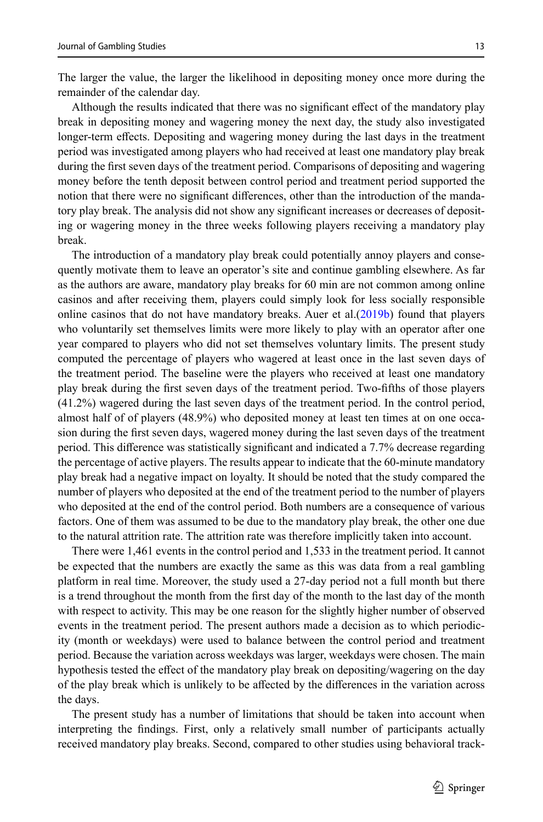The larger the value, the larger the likelihood in depositing money once more during the remainder of the calendar day.

Although the results indicated that there was no significant effect of the mandatory play break in depositing money and wagering money the next day, the study also investigated longer-term effects. Depositing and wagering money during the last days in the treatment period was investigated among players who had received at least one mandatory play break during the first seven days of the treatment period. Comparisons of depositing and wagering money before the tenth deposit between control period and treatment period supported the notion that there were no significant differences, other than the introduction of the mandatory play break. The analysis did not show any significant increases or decreases of depositing or wagering money in the three weeks following players receiving a mandatory play break.

The introduction of a mandatory play break could potentially annoy players and consequently motivate them to leave an operator's site and continue gambling elsewhere. As far as the authors are aware, mandatory play breaks for 60 min are not common among online casinos and after receiving them, players could simply look for less socially responsible online casinos that do not have mandatory breaks. Auer et al. $(2019b)$  $(2019b)$  $(2019b)$  found that players who voluntarily set themselves limits were more likely to play with an operator after one year compared to players who did not set themselves voluntary limits. The present study computed the percentage of players who wagered at least once in the last seven days of the treatment period. The baseline were the players who received at least one mandatory play break during the first seven days of the treatment period. Two-fifths of those players (41.2%) wagered during the last seven days of the treatment period. In the control period, almost half of of players (48.9%) who deposited money at least ten times at on one occasion during the first seven days, wagered money during the last seven days of the treatment period. This difference was statistically significant and indicated a 7.7% decrease regarding the percentage of active players. The results appear to indicate that the 60-minute mandatory play break had a negative impact on loyalty. It should be noted that the study compared the number of players who deposited at the end of the treatment period to the number of players who deposited at the end of the control period. Both numbers are a consequence of various factors. One of them was assumed to be due to the mandatory play break, the other one due to the natural attrition rate. The attrition rate was therefore implicitly taken into account.

There were 1,461 events in the control period and 1,533 in the treatment period. It cannot be expected that the numbers are exactly the same as this was data from a real gambling platform in real time. Moreover, the study used a 27-day period not a full month but there is a trend throughout the month from the first day of the month to the last day of the month with respect to activity. This may be one reason for the slightly higher number of observed events in the treatment period. The present authors made a decision as to which periodicity (month or weekdays) were used to balance between the control period and treatment period. Because the variation across weekdays was larger, weekdays were chosen. The main hypothesis tested the effect of the mandatory play break on depositing/wagering on the day of the play break which is unlikely to be affected by the differences in the variation across the days.

The present study has a number of limitations that should be taken into account when interpreting the findings. First, only a relatively small number of participants actually received mandatory play breaks. Second, compared to other studies using behavioral track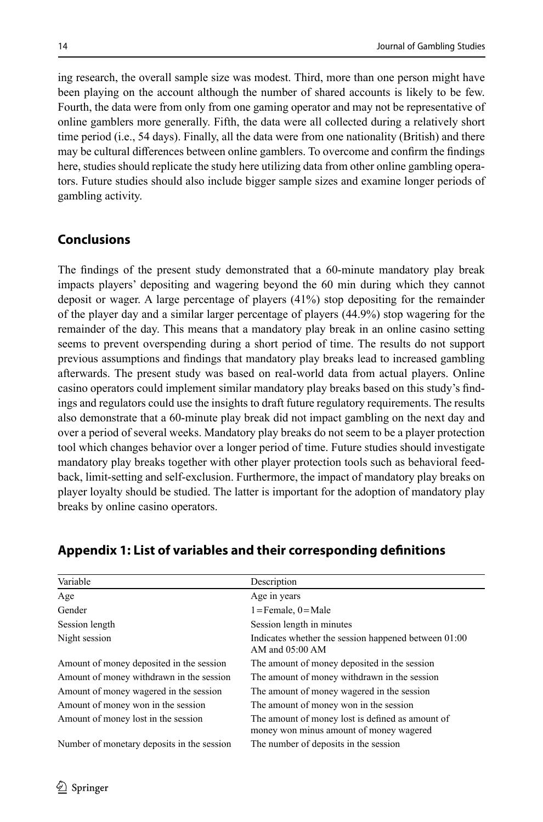ing research, the overall sample size was modest. Third, more than one person might have been playing on the account although the number of shared accounts is likely to be few. Fourth, the data were from only from one gaming operator and may not be representative of online gamblers more generally. Fifth, the data were all collected during a relatively short time period (i.e., 54 days). Finally, all the data were from one nationality (British) and there may be cultural differences between online gamblers. To overcome and confirm the findings here, studies should replicate the study here utilizing data from other online gambling operators. Future studies should also include bigger sample sizes and examine longer periods of gambling activity.

# **Conclusions**

The findings of the present study demonstrated that a 60-minute mandatory play break impacts players' depositing and wagering beyond the 60 min during which they cannot deposit or wager. A large percentage of players (41%) stop depositing for the remainder of the player day and a similar larger percentage of players (44.9%) stop wagering for the remainder of the day. This means that a mandatory play break in an online casino setting seems to prevent overspending during a short period of time. The results do not support previous assumptions and findings that mandatory play breaks lead to increased gambling afterwards. The present study was based on real-world data from actual players. Online casino operators could implement similar mandatory play breaks based on this study's findings and regulators could use the insights to draft future regulatory requirements. The results also demonstrate that a 60-minute play break did not impact gambling on the next day and over a period of several weeks. Mandatory play breaks do not seem to be a player protection tool which changes behavior over a longer period of time. Future studies should investigate mandatory play breaks together with other player protection tools such as behavioral feedback, limit-setting and self-exclusion. Furthermore, the impact of mandatory play breaks on player loyalty should be studied. The latter is important for the adoption of mandatory play breaks by online casino operators.

| Variable                                   | Description                                                                                 |
|--------------------------------------------|---------------------------------------------------------------------------------------------|
| Age                                        | Age in years                                                                                |
| Gender                                     | $1 =$ Female, $0 =$ Male                                                                    |
| Session length                             | Session length in minutes                                                                   |
| Night session                              | Indicates whether the session happened between 01:00<br>AM and $05:00$ AM                   |
| Amount of money deposited in the session   | The amount of money deposited in the session                                                |
| Amount of money withdrawn in the session   | The amount of money withdrawn in the session                                                |
| Amount of money wagered in the session     | The amount of money wagered in the session                                                  |
| Amount of money won in the session         | The amount of money won in the session                                                      |
| Amount of money lost in the session        | The amount of money lost is defined as amount of<br>money won minus amount of money wagered |
| Number of monetary deposits in the session | The number of deposits in the session                                                       |

## <span id="page-13-0"></span>**Appendix 1: List of variables and their corresponding definitions**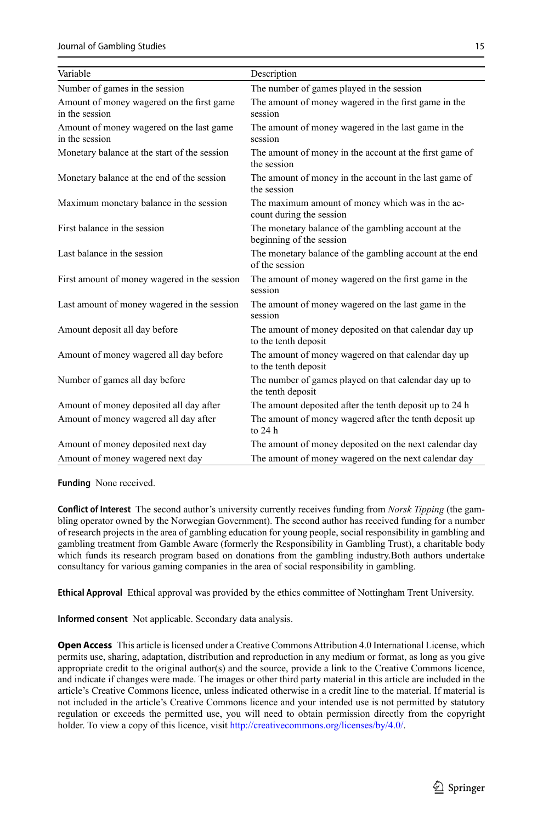Journal of Gambling Studies 15

| Variable                                                    | Description                                                                     |
|-------------------------------------------------------------|---------------------------------------------------------------------------------|
| Number of games in the session                              | The number of games played in the session                                       |
| Amount of money wagered on the first game<br>in the session | The amount of money wagered in the first game in the<br>session                 |
| Amount of money wagered on the last game<br>in the session  | The amount of money wagered in the last game in the<br>session                  |
| Monetary balance at the start of the session                | The amount of money in the account at the first game of<br>the session          |
| Monetary balance at the end of the session                  | The amount of money in the account in the last game of<br>the session           |
| Maximum monetary balance in the session                     | The maximum amount of money which was in the ac-<br>count during the session    |
| First balance in the session                                | The monetary balance of the gambling account at the<br>beginning of the session |
| Last balance in the session                                 | The monetary balance of the gambling account at the end<br>of the session       |
| First amount of money wagered in the session                | The amount of money wagered on the first game in the<br>session                 |
| Last amount of money wagered in the session                 | The amount of money wagered on the last game in the<br>session                  |
| Amount deposit all day before                               | The amount of money deposited on that calendar day up<br>to the tenth deposit   |
| Amount of money wagered all day before                      | The amount of money wagered on that calendar day up<br>to the tenth deposit     |
| Number of games all day before                              | The number of games played on that calendar day up to<br>the tenth deposit      |
| Amount of money deposited all day after                     | The amount deposited after the tenth deposit up to 24 h                         |
| Amount of money wagered all day after                       | The amount of money wagered after the tenth deposit up<br>to $24h$              |
| Amount of money deposited next day                          | The amount of money deposited on the next calendar day                          |
| Amount of money wagered next day                            | The amount of money wagered on the next calendar day                            |

**Funding** None received.

**Conflict of Interest** The second author's university currently receives funding from *Norsk Tipping* (the gambling operator owned by the Norwegian Government). The second author has received funding for a number of research projects in the area of gambling education for young people, social responsibility in gambling and gambling treatment from Gamble Aware (formerly the Responsibility in Gambling Trust), a charitable body which funds its research program based on donations from the gambling industry.Both authors undertake consultancy for various gaming companies in the area of social responsibility in gambling.

**Ethical Approval** Ethical approval was provided by the ethics committee of Nottingham Trent University.

**Informed consent** Not applicable. Secondary data analysis.

**Open Access** This article is licensed under a Creative Commons Attribution 4.0 International License, which permits use, sharing, adaptation, distribution and reproduction in any medium or format, as long as you give appropriate credit to the original author(s) and the source, provide a link to the Creative Commons licence, and indicate if changes were made. The images or other third party material in this article are included in the article's Creative Commons licence, unless indicated otherwise in a credit line to the material. If material is not included in the article's Creative Commons licence and your intended use is not permitted by statutory regulation or exceeds the permitted use, you will need to obtain permission directly from the copyright holder. To view a copy of this licence, visit <http://creativecommons.org/licenses/by/4.0/>.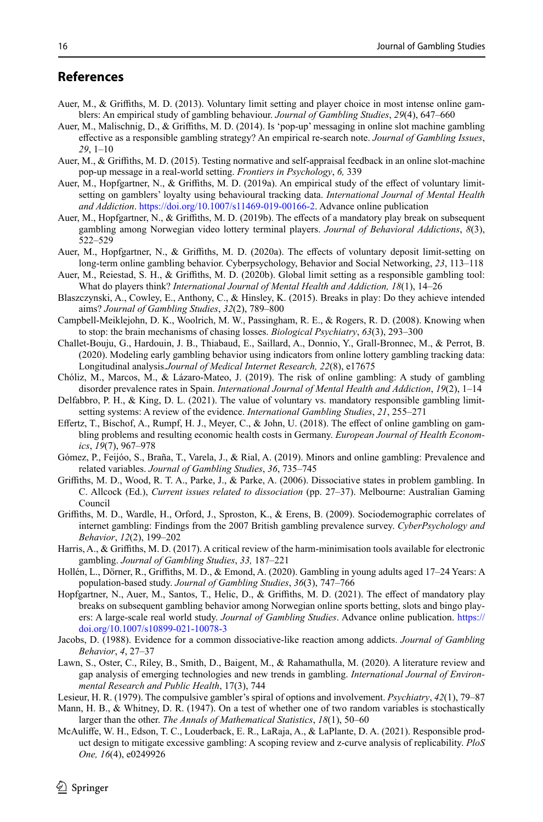## **References**

- <span id="page-15-7"></span>Auer, M., & Griffiths, M. D. (2013). Voluntary limit setting and player choice in most intense online gamblers: An empirical study of gambling behaviour. *Journal of Gambling Studies*, *29*(4), 647–660
- <span id="page-15-9"></span>Auer, M., Malischnig, D., & Griffiths, M. D. (2014). Is 'pop-up' messaging in online slot machine gambling effective as a responsible gambling strategy? An empirical re-search note. *Journal of Gambling Issues*, *29*, 1–10
- <span id="page-15-8"></span>Auer, M., & Griffiths, M. D. (2015). Testing normative and self-appraisal feedback in an online slot-machine pop-up message in a real-world setting. *Frontiers in Psychology*, *6,* 339
- <span id="page-15-16"></span>Auer, M., Hopfgartner, N., & Griffiths, M. D. (2019a). An empirical study of the effect of voluntary limitsetting on gamblers' loyalty using behavioural tracking data. *International Journal of Mental Health and Addiction*. [https://doi.org/10.1007/s11469-019-00166-2.](http://dx.doi.org/10.1007/s11469-019-00166-2) Advance online publication
- <span id="page-15-22"></span>Auer, M., Hopfgartner, N., & Griffiths, M. D. (2019b). The effects of a mandatory play break on subsequent gambling among Norwegian video lottery terminal players. *Journal of Behavioral Addictions*, *8*(3), 522–529
- Auer, M., Hopfgartner, N., & Griffiths, M. D. (2020a). The effects of voluntary deposit limit-setting on long-term online gambling behavior. Cyberpsychology, Behavior and Social Networking, *23*, 113–118
- <span id="page-15-10"></span>Auer, M., Reiestad, S. H., & Griffiths, M. D. (2020b). Global limit setting as a responsible gambling tool: What do players think? *International Journal of Mental Health and Addiction, 18*(1), 14–26
- <span id="page-15-15"></span>Blaszczynski, A., Cowley, E., Anthony, C., & Hinsley, K. (2015). Breaks in play: Do they achieve intended aims? *Journal of Gambling Studies*, *32*(2), 789–800
- <span id="page-15-20"></span>Campbell-Meiklejohn, D. K., Woolrich, M. W., Passingham, R. E., & Rogers, R. D. (2008). Knowing when to stop: the brain mechanisms of chasing losses. *Biological Psychiatry*, *63*(3), 293–300
- <span id="page-15-19"></span>Challet-Bouju, G., Hardouin, J. B., Thiabaud, E., Saillard, A., Donnio, Y., Grall-Bronnec, M., & Perrot, B. (2020). Modeling early gambling behavior using indicators from online lottery gambling tracking data: Longitudinal analysis.*Journal of Medical Internet Research, 22*(8), e17675
- <span id="page-15-3"></span>Chóliz, M., Marcos, M., & Lázaro-Mateo, J. (2019). The risk of online gambling: A study of gambling disorder prevalence rates in Spain. *International Journal of Mental Health and Addiction*, *19*(2), 1–14
- <span id="page-15-11"></span>Delfabbro, P. H., & King, D. L. (2021). The value of voluntary vs. mandatory responsible gambling limitsetting systems: A review of the evidence. *International Gambling Studies*, *21*, 255–271
- <span id="page-15-4"></span>Effertz, T., Bischof, A., Rumpf, H. J., Meyer, C., & John, U. (2018). The effect of online gambling on gambling problems and resulting economic health costs in Germany. *European Journal of Health Economics*, *19*(7), 967–978
- <span id="page-15-0"></span>Gómez, P., Feijóo, S., Braña, T., Varela, J., & Rial, A. (2019). Minors and online gambling: Prevalence and related variables. *Journal of Gambling Studies*, *36*, 735–745
- <span id="page-15-13"></span>Griffiths, M. D., Wood, R. T. A., Parke, J., & Parke, A. (2006). Dissociative states in problem gambling. In C. Allcock (Ed.), *Current issues related to dissociation* (pp. 27–37). Melbourne: Australian Gaming Council
- <span id="page-15-5"></span>Griffiths, M. D., Wardle, H., Orford, J., Sproston, K., & Erens, B. (2009). Sociodemographic correlates of internet gambling: Findings from the 2007 British gambling prevalence survey. *CyberPsychology and Behavior*, *12*(2), 199–202
- <span id="page-15-6"></span>Harris, A., & Griffiths, M. D. (2017). A critical review of the harm-minimisation tools available for electronic gambling. *Journal of Gambling Studies*, *33,* 187–221
- <span id="page-15-1"></span>Hollén, L., Dörner, R., Griffiths, M. D., & Emond, A. (2020). Gambling in young adults aged 17–24 Years: A population-based study. *Journal of Gambling Studies*, *36*(3), 747–766
- <span id="page-15-17"></span>Hopfgartner, N., Auer, M., Santos, T., Helic, D., & Griffiths, M. D. (2021). The effect of mandatory play breaks on subsequent gambling behavior among Norwegian online sports betting, slots and bingo players: A large-scale real world study. *Journal of Gambling Studies*. Advance online publication. [https://](http://dx.doi.org/10.1007/s10899-021-10078-3) [doi.org/10.1007/s10899-021-10078-3](http://dx.doi.org/10.1007/s10899-021-10078-3)
- <span id="page-15-14"></span>Jacobs, D. (1988). Evidence for a common dissociative-like reaction among addicts. *Journal of Gambling Behavior*, *4*, 27–37
- <span id="page-15-2"></span>Lawn, S., Oster, C., Riley, B., Smith, D., Baigent, M., & Rahamathulla, M. (2020). A literature review and gap analysis of emerging technologies and new trends in gambling. *International Journal of Environmental Research and Public Health*, 17(3), 744
- <span id="page-15-21"></span>Lesieur, H. R. (1979). The compulsive gambler's spiral of options and involvement. *Psychiatry*, *42*(1), 79–87
- <span id="page-15-18"></span>Mann, H. B., & Whitney, D. R. (1947). On a test of whether one of two random variables is stochastically larger than the other. *The Annals of Mathematical Statistics*, *18*(1), 50–60
- <span id="page-15-12"></span>McAuliffe, W. H., Edson, T. C., Louderback, E. R., LaRaja, A., & LaPlante, D. A. (2021). Responsible product design to mitigate excessive gambling: A scoping review and z-curve analysis of replicability. *PloS One, 16*(4), e0249926